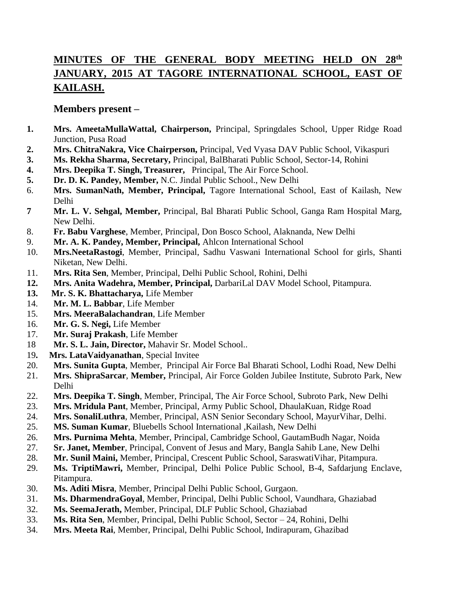# **MINUTES OF THE GENERAL BODY MEETING HELD ON 28th JANUARY, 2015 AT TAGORE INTERNATIONAL SCHOOL, EAST OF KAILASH.**

## **Members present –**

- **1. Mrs. AmeetaMullaWattal, Chairperson,** Principal, Springdales School, Upper Ridge Road Junction, Pusa Road
- **2. Mrs. ChitraNakra, Vice Chairperson,** Principal, Ved Vyasa DAV Public School, Vikaspuri
- **3. Ms. Rekha Sharma, Secretary,** Principal, BalBharati Public School, Sector-14, Rohini
- **4. Mrs. Deepika T. Singh, Treasurer,** Principal, The Air Force School.
- **5. Dr. D. K. Pandey, Member,** N.C. Jindal Public School., New Delhi
- 6. **Mrs. SumanNath, Member, Principal,** Tagore International School, East of Kailash, New Delhi
- **7 Mr. L. V. Sehgal, Member,** Principal, Bal Bharati Public School, Ganga Ram Hospital Marg, New Delhi.
- 8. **Fr. Babu Varghese**, Member, Principal, Don Bosco School, Alaknanda, New Delhi
- 9. **Mr. A. K. Pandey, Member, Principal,** Ahlcon International School
- 10. **Mrs.NeetaRastogi**, Member, Principal, Sadhu Vaswani International School for girls, Shanti Niketan, New Delhi.
- 11. **Mrs. Rita Sen**, Member, Principal, Delhi Public School, Rohini, Delhi
- **12. Mrs. Anita Wadehra, Member, Principal,** DarbariLal DAV Model School, Pitampura.
- **13. Mr. S. K. Bhattacharya,** Life Member
- 14. **Mr. M. L. Babbar**, Life Member
- 15. **Mrs. MeeraBalachandran**, Life Member
- 16. **Mr. G. S. Negi,** Life Member
- 17. **Mr. Suraj Prakash**, Life Member
- 18 **Mr. S. L. Jain, Director,** Mahavir Sr. Model School..
- 19**. Mrs. LataVaidyanathan**, Special Invitee
- 20. **Mrs. Sunita Gupta**, Member, Principal Air Force Bal Bharati School, Lodhi Road, New Delhi
- 21. **Mrs. ShipraSarcar**, **Member,** Principal, Air Force Golden Jubilee Institute, Subroto Park, New Delhi
- 22. **Mrs. Deepika T. Singh**, Member, Principal, The Air Force School, Subroto Park, New Delhi
- 23. **Mrs. Mridula Pant**, Member, Principal, Army Public School, DhaulaKuan, Ridge Road
- 24. **Mrs. SonaliLuthra**, Member, Principal, ASN Senior Secondary School, MayurVihar, Delhi.
- 25. **MS. Suman Kumar**, Bluebells School International ,Kailash, New Delhi
- 26. **Mrs. Purnima Mehta**, Member, Principal, Cambridge School, GautamBudh Nagar, Noida
- 27. **Sr. Janet, Member**, Principal, Convent of Jesus and Mary, Bangla Sahib Lane, New Delhi
- 28. **Mr. Sunil Maini,** Member, Principal, Crescent Public School, SaraswatiVihar, Pitampura.
- 29. **Ms. TriptiMawri,** Member, Principal, Delhi Police Public School, B-4, Safdarjung Enclave, Pitampura.
- 30. **Ms. Aditi Misra**, Member, Principal Delhi Public School, Gurgaon.
- 31. **Ms. DharmendraGoyal**, Member, Principal, Delhi Public School, Vaundhara, Ghaziabad
- 32. **Ms. SeemaJerath,** Member, Principal, DLF Public School, Ghaziabad
- 33. **Ms. Rita Sen**, Member, Principal, Delhi Public School, Sector 24, Rohini, Delhi
- 34. **Mrs. Meeta Rai**, Member, Principal, Delhi Public School, Indirapuram, Ghazibad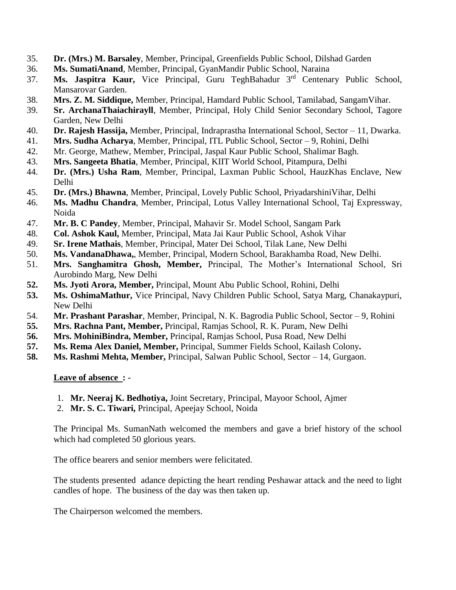- 35. **Dr. (Mrs.) M. Barsaley**, Member, Principal, Greenfields Public School, Dilshad Garden
- 36. **Ms. SumatiAnand**, Member, Principal, GyanMandir Public School, Naraina
- 37. **Ms. Jaspitra Kaur,** Vice Principal, Guru TeghBahadur 3rd Centenary Public School, Mansarovar Garden.
- 38. **Mrs. Z. M. Siddique,** Member, Principal, Hamdard Public School, Tamilabad, SangamVihar.
- 39. **Sr. ArchanaThaiachirayll**, Member, Principal, Holy Child Senior Secondary School, Tagore Garden, New Delhi
- 40. **Dr. Rajesh Hassija,** Member, Principal, Indraprastha International School, Sector 11, Dwarka.
- 41. **Mrs. Sudha Acharya**, Member, Principal, ITL Public School, Sector 9, Rohini, Delhi
- 42. Mr. George, Mathew, Member, Principal, Jaspal Kaur Public School, Shalimar Bagh.
- 43. **Mrs. Sangeeta Bhatia**, Member, Principal, KIIT World School, Pitampura, Delhi
- 44. **Dr. (Mrs.) Usha Ram**, Member, Principal, Laxman Public School, HauzKhas Enclave, New Delhi
- 45. **Dr. (Mrs.) Bhawna**, Member, Principal, Lovely Public School, PriyadarshiniVihar, Delhi
- 46. **Ms. Madhu Chandra**, Member, Principal, Lotus Valley International School, Taj Expressway, Noida
- 47. **Mr. B. C Pandey**, Member, Principal, Mahavir Sr. Model School, Sangam Park
- 48. **Col. Ashok Kaul,** Member, Principal, Mata Jai Kaur Public School, Ashok Vihar
- 49. **Sr. Irene Mathais**, Member, Principal, Mater Dei School, Tilak Lane, New Delhi
- 50. **Ms. VandanaDhawa,**, Member, Principal, Modern School, Barakhamba Road, New Delhi.
- 51. **Mrs. Sanghamitra Ghosh, Member,** Principal, The Mother's International School, Sri Aurobindo Marg, New Delhi
- **52. Ms. Jyoti Arora, Member,** Principal, Mount Abu Public School, Rohini, Delhi
- **53. Ms. OshimaMathur,** Vice Principal, Navy Children Public School, Satya Marg, Chanakaypuri, New Delhi
- 54. **Mr. Prashant Parashar**, Member, Principal, N. K. Bagrodia Public School, Sector 9, Rohini
- **55. Mrs. Rachna Pant, Member,** Principal, Ramjas School, R. K. Puram, New Delhi
- **56. Mrs. MohiniBindra, Member,** Principal, Ramjas School, Pusa Road, New Delhi
- **57. Ms. Rema Alex Daniel, Member,** Principal, Summer Fields School, Kailash Colony**.**
- **58. Ms. Rashmi Mehta, Member,** Principal, Salwan Public School, Sector 14, Gurgaon.

#### **Leave of absence : -**

- 1. **Mr. Neeraj K. Bedhotiya,** Joint Secretary, Principal, Mayoor School, Ajmer
- 2. **Mr. S. C. Tiwari,** Principal, Apeejay School, Noida

The Principal Ms. SumanNath welcomed the members and gave a brief history of the school which had completed 50 glorious years.

The office bearers and senior members were felicitated.

The students presented adance depicting the heart rending Peshawar attack and the need to light candles of hope. The business of the day was then taken up.

The Chairperson welcomed the members.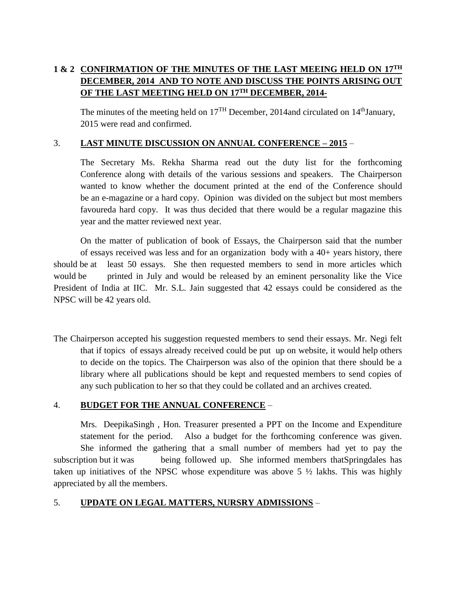## **1 & 2 CONFIRMATION OF THE MINUTES OF THE LAST MEEING HELD ON 17TH DECEMBER, 2014 AND TO NOTE AND DISCUSS THE POINTS ARISING OUT OF THE LAST MEETING HELD ON 17TH DECEMBER, 2014-**

The minutes of the meeting held on  $17<sup>TH</sup>$  December, 2014and circulated on  $14<sup>th</sup>$ January, 2015 were read and confirmed.

### 3. **LAST MINUTE DISCUSSION ON ANNUAL CONFERENCE – 2015** –

The Secretary Ms. Rekha Sharma read out the duty list for the forthcoming Conference along with details of the various sessions and speakers. The Chairperson wanted to know whether the document printed at the end of the Conference should be an e-magazine or a hard copy. Opinion was divided on the subject but most members favoureda hard copy. It was thus decided that there would be a regular magazine this year and the matter reviewed next year.

On the matter of publication of book of Essays, the Chairperson said that the number of essays received was less and for an organization body with a 40+ years history, there should be at least 50 essays. She then requested members to send in more articles which would be printed in July and would be released by an eminent personality like the Vice President of India at IIC. Mr. S.L. Jain suggested that 42 essays could be considered as the NPSC will be 42 years old.

The Chairperson accepted his suggestion requested members to send their essays. Mr. Negi felt that if topics of essays already received could be put up on website, it would help others to decide on the topics. The Chairperson was also of the opinion that there should be a library where all publications should be kept and requested members to send copies of any such publication to her so that they could be collated and an archives created.

#### 4. **BUDGET FOR THE ANNUAL CONFERENCE** –

Mrs. DeepikaSingh , Hon. Treasurer presented a PPT on the Income and Expenditure statement for the period. Also a budget for the forthcoming conference was given. She informed the gathering that a small number of members had yet to pay the subscription but it was being followed up. She informed members thatSpringdales has taken up initiatives of the NPSC whose expenditure was above  $5\frac{1}{2}$  lakhs. This was highly appreciated by all the members.

#### 5. **UPDATE ON LEGAL MATTERS, NURSRY ADMISSIONS** –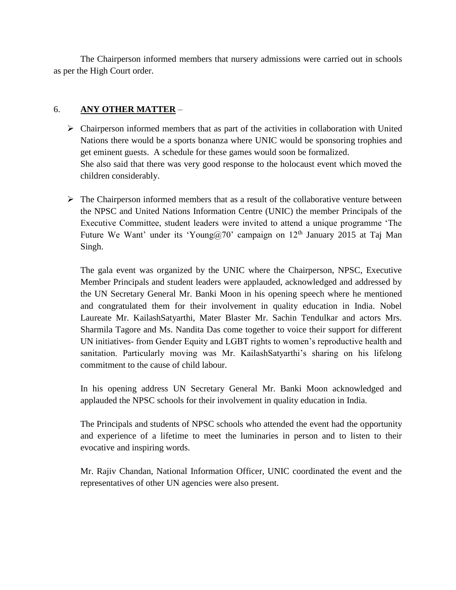The Chairperson informed members that nursery admissions were carried out in schools as per the High Court order.

#### 6. **ANY OTHER MATTER** –

- $\triangleright$  Chairperson informed members that as part of the activities in collaboration with United Nations there would be a sports bonanza where UNIC would be sponsoring trophies and get eminent guests. A schedule for these games would soon be formalized. She also said that there was very good response to the holocaust event which moved the children considerably.
- $\triangleright$  The Chairperson informed members that as a result of the collaborative venture between the NPSC and United Nations Information Centre (UNIC) the member Principals of the Executive Committee, student leaders were invited to attend a unique programme 'The Future We Want' under its 'Young@70' campaign on  $12<sup>th</sup>$  January 2015 at Taj Man Singh.

The gala event was organized by the UNIC where the Chairperson, NPSC, Executive Member Principals and student leaders were applauded, acknowledged and addressed by the UN Secretary General Mr. Banki Moon in his opening speech where he mentioned and congratulated them for their involvement in quality education in India. Nobel Laureate Mr. KailashSatyarthi, Mater Blaster Mr. Sachin Tendulkar and actors Mrs. Sharmila Tagore and Ms. Nandita Das come together to voice their support for different UN initiatives- from Gender Equity and LGBT rights to women's reproductive health and sanitation. Particularly moving was Mr. KailashSatyarthi's sharing on his lifelong commitment to the cause of child labour.

In his opening address UN Secretary General Mr. Banki Moon acknowledged and applauded the NPSC schools for their involvement in quality education in India.

The Principals and students of NPSC schools who attended the event had the opportunity and experience of a lifetime to meet the luminaries in person and to listen to their evocative and inspiring words.

Mr. Rajiv Chandan, National Information Officer, UNIC coordinated the event and the representatives of other UN agencies were also present.